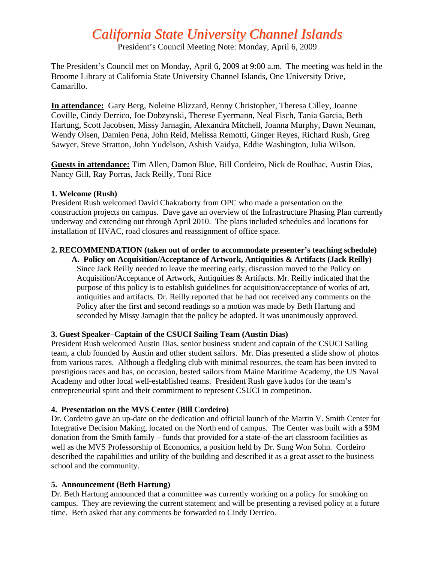# *California State University Channel Islands*

President's Council Meeting Note: Monday, April 6, 2009

The President's Council met on Monday, April 6, 2009 at 9:00 a.m. The meeting was held in the Broome Library at California State University Channel Islands, One University Drive, Camarillo.

**In attendance:** Gary Berg, Noleine Blizzard, Renny Christopher, Theresa Cilley, Joanne Coville, Cindy Derrico, Joe Dobzynski, Therese Eyermann, Neal Fisch, Tania Garcia, Beth Hartung, Scott Jacobsen, Missy Jarnagin, Alexandra Mitchell, Joanna Murphy, Dawn Neuman, Wendy Olsen, Damien Pena, John Reid, Melissa Remotti, Ginger Reyes, Richard Rush, Greg Sawyer, Steve Stratton, John Yudelson, Ashish Vaidya, Eddie Washington, Julia Wilson.

**Guests in attendance:** Tim Allen, Damon Blue, Bill Cordeiro, Nick de Roulhac, Austin Dias, Nancy Gill, Ray Porras, Jack Reilly, Toni Rice

#### **1. Welcome (Rush)**

President Rush welcomed David Chakraborty from OPC who made a presentation on the construction projects on campus. Dave gave an overview of the Infrastructure Phasing Plan currently underway and extending out through April 2010. The plans included schedules and locations for installation of HVAC, road closures and reassignment of office space.

# **2. RECOMMENDATION (taken out of order to accommodate presenter's teaching schedule)**

 **A. Policy on Acquisition/Acceptance of Artwork, Antiquities & Artifacts (Jack Reilly)**  Since Jack Reilly needed to leave the meeting early, discussion moved to the Policy on Acquisition/Acceptance of Artwork, Antiquities & Artifacts. Mr. Reilly indicated that the purpose of this policy is to establish guidelines for acquisition/acceptance of works of art, antiquities and artifacts. Dr. Reilly reported that he had not received any comments on the Policy after the first and second readings so a motion was made by Beth Hartung and seconded by Missy Jarnagin that the policy be adopted. It was unanimously approved.

# **3. Guest Speaker–Captain of the CSUCI Sailing Team (Austin Dias)**

President Rush welcomed Austin Dias, senior business student and captain of the CSUCI Sailing team, a club founded by Austin and other student sailors. Mr. Dias presented a slide show of photos from various races. Although a fledgling club with minimal resources, the team has been invited to prestigious races and has, on occasion, bested sailors from Maine Maritime Academy, the US Naval Academy and other local well-established teams. President Rush gave kudos for the team's entrepreneurial spirit and their commitment to represent CSUCI in competition.

# **4. Presentation on the MVS Center (Bill Cordeiro)**

Dr. Cordeiro gave an up-date on the dedication and official launch of the Martin V. Smith Center for Integrative Decision Making, located on the North end of campus. The Center was built with a \$9M donation from the Smith family – funds that provided for a state-of-the art classroom facilities as well as the MVS Professorship of Economics, a position held by Dr. Sung Won Sohn. Cordeiro described the capabilities and utility of the building and described it as a great asset to the business school and the community.

# **5. Announcement (Beth Hartung)**

Dr. Beth Hartung announced that a committee was currently working on a policy for smoking on campus. They are reviewing the current statement and will be presenting a revised policy at a future time. Beth asked that any comments be forwarded to Cindy Derrico.